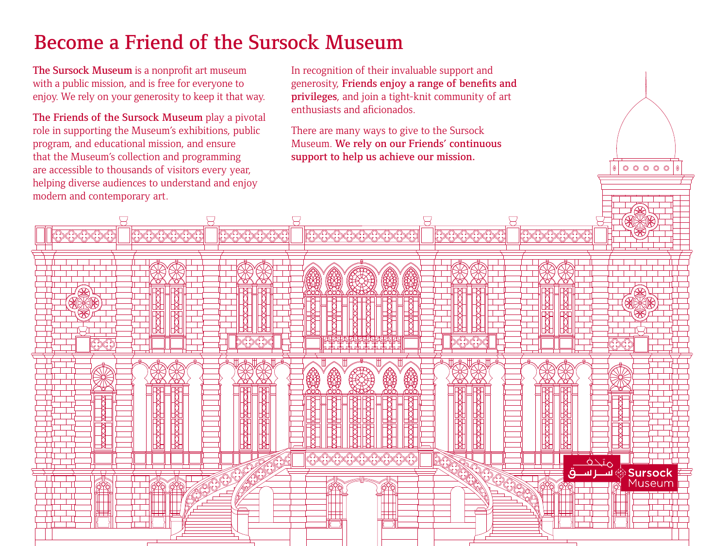# Become a Friend of the Sursock Museum

The Sursock Museum is a nonprofit art museum with a public mission, and is free for everyone to enjoy. We rely on your generosity to keep it that way.

The Friends of the Sursock Museum play a pivotal role in supporting the Museum's exhibitions, public program, and educational mission, and ensure that the Museum's collection and programming are accessible to thousands of visitors every year, helping diverse audiences to understand and enjoy modern and contemporary art.

In recognition of their invaluable support and generosity, Friends enjoy a range of benefits and privileges, and join a tight-knit community of art enthusiasts and aficionados.

There are many ways to give to the Sursock Museum. We rely on our Friends' continuous support to help us achieve our mission.

 $00000$ 

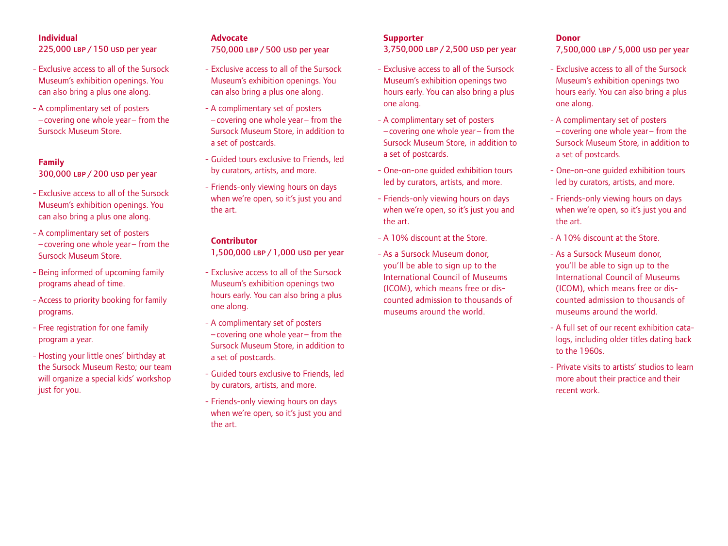#### **Individual**

225,000 LBP / 150 USD per year

- Exclusive access to all of the Sursock Museum's exhibition openings. You can also bring a plus one along.
- A complimentary set of posters –covering one whole year– from the Sursock Museum Store.

#### **Family**

300,000 LBP / 200 USD per year

- Exclusive access to all of the Sursock Museum's exhibition openings. You can also bring a plus one along.
- A complimentary set of posters –covering one whole year– from the Sursock Museum Store.
- Being informed of upcoming family programs ahead of time.
- Access to priority booking for family programs.
- Free registration for one family program a year.
- Hosting your little ones' birthday at the Sursock Museum Resto; our team will organize a special kids' workshop just for you.

#### **Advocate**

750,000 LBP / 500 USD per year

- Exclusive access to all of the Sursock Museum's exhibition openings. You can also bring a plus one along.
- A complimentary set of posters –covering one whole year– from the Sursock Museum Store, in addition to a set of postcards.
- Guided tours exclusive to Friends, led by curators, artists, and more.
- Friends-only viewing hours on days when we're open, so it's just you and the art.

#### **Contributor**

1,500,000 LBP / 1,000 USD per year

- Exclusive access to all of the Sursock Museum's exhibition openings two hours early. You can also bring a plus one along.
- A complimentary set of posters –covering one whole year– from the Sursock Museum Store, in addition to a set of postcards.
- Guided tours exclusive to Friends, led by curators, artists, and more.
- Friends-only viewing hours on days when we're open, so it's just you and the art.

### **Supporter**

3,750,000 LBP / 2,500 USD per year

- Exclusive access to all of the Sursock Museum's exhibition openings two hours early. You can also bring a plus one along.
- A complimentary set of posters –covering one whole year – from the Sursock Museum Store, in addition to a set of postcards.
- One-on-one guided exhibition tours led by curators, artists, and more.
- Friends-only viewing hours on days when we're open, so it's just you and the art.
- A 10% discount at the Store.
- As a Sursock Museum donor, you'll be able to sign up to the International Council of Museums (ICOM), which means free or discounted admission to thousands of museums around the world.

#### **Donor**

7,500,000 LBP / 5,000 USD per year

- Exclusive access to all of the Sursock Museum's exhibition openings two hours early. You can also bring a plus one along.
- A complimentary set of posters –covering one whole year – from the Sursock Museum Store, in addition to a set of postcards.
- One-on-one guided exhibition tours led by curators, artists, and more.
- Friends-only viewing hours on days when we're open, so it's just you and the art.
- A 10% discount at the Store.
- As a Sursock Museum donor, you'll be able to sign up to the International Council of Museums (ICOM), which means free or discounted admission to thousands of museums around the world.
- A full set of our recent exhibition catalogs, including older titles dating back to the 1960s.
- Private visits to artists' studios to learn more about their practice and their recent work.